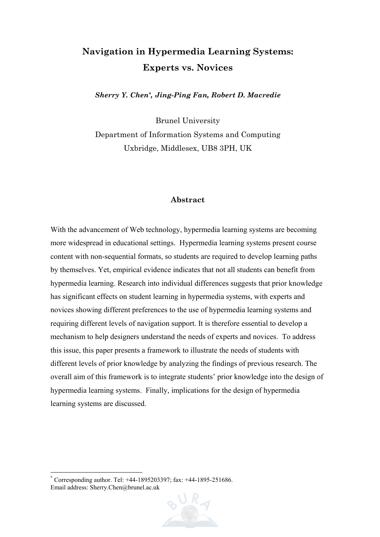# **Navigation in Hypermedia Learning Systems: Experts vs. Novices**

*Sherry Y. Chen[\\*,](#page-0-0) Jing-Ping Fan, Robert D. Macredie* 

Brunel University Department of Information Systems and Computing Uxbridge, Middlesex, UB8 3PH, UK

#### **Abstract**

With the advancement of Web technology, hypermedia learning systems are becoming more widespread in educational settings. Hypermedia learning systems present course content with non-sequential formats, so students are required to develop learning paths by themselves. Yet, empirical evidence indicates that not all students can benefit from hypermedia learning. Research into individual differences suggests that prior knowledge has significant effects on student learning in hypermedia systems, with experts and novices showing different preferences to the use of hypermedia learning systems and requiring different levels of navigation support. It is therefore essential to develop a mechanism to help designers understand the needs of experts and novices. To address this issue, this paper presents a framework to illustrate the needs of students with different levels of prior knowledge by analyzing the findings of previous research. The overall aim of this framework is to integrate students' prior knowledge into the design of hypermedia learning systems. Finally, implications for the design of hypermedia learning systems are discussed.

 $\overline{a}$ 



<span id="page-0-0"></span><sup>\*</sup> Corresponding author. Tel: +44-1895203397; fax: +44-1895-251686. Email address: Sherry.Chen@brunel.ac.uk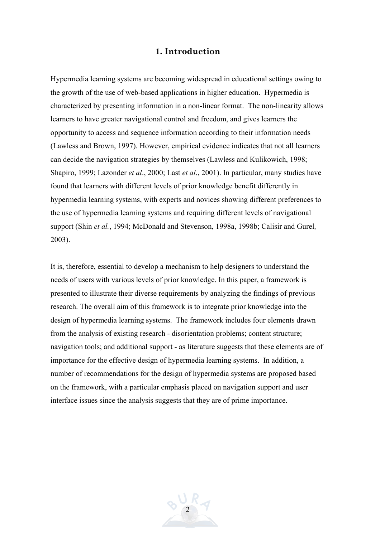## **1. Introduction**

Hypermedia learning systems are becoming widespread in educational settings owing to the growth of the use of web-based applications in higher education. Hypermedia is characterized by presenting information in a non-linear format. The non-linearity allows learners to have greater navigational control and freedom, and gives learners the opportunity to access and sequence information according to their information needs (Lawless and Brown, 1997). However, empirical evidence indicates that not all learners can decide the navigation strategies by themselves (Lawless and Kulikowich, 1998; Shapiro, 1999; Lazonder *et al*., 2000; Last *et al*., 2001). In particular, many studies have found that learners with different levels of prior knowledge benefit differently in hypermedia learning systems, with experts and novices showing different preferences to the use of hypermedia learning systems and requiring different levels of navigational support (Shin *et al.*, 1994; McDonald and Stevenson, 1998a, 1998b; Calisir and Gurel, 2003).

It is, therefore, essential to develop a mechanism to help designers to understand the needs of users with various levels of prior knowledge. In this paper, a framework is presented to illustrate their diverse requirements by analyzing the findings of previous research. The overall aim of this framework is to integrate prior knowledge into the design of hypermedia learning systems. The framework includes four elements drawn from the analysis of existing research - disorientation problems; content structure; navigation tools; and additional support - as literature suggests that these elements are of importance for the effective design of hypermedia learning systems. In addition, a number of recommendations for the design of hypermedia systems are proposed based on the framework, with a particular emphasis placed on navigation support and user interface issues since the analysis suggests that they are of prime importance.

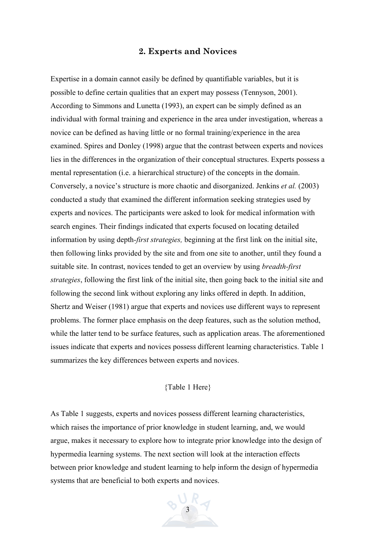## **2. Experts and Novices**

Expertise in a domain cannot easily be defined by quantifiable variables, but it is possible to define certain qualities that an expert may possess (Tennyson, 2001). According to Simmons and Lunetta (1993), an expert can be simply defined as an individual with formal training and experience in the area under investigation, whereas a novice can be defined as having little or no formal training/experience in the area examined. Spires and Donley (1998) argue that the contrast between experts and novices lies in the differences in the organization of their conceptual structures. Experts possess a mental representation (i.e. a hierarchical structure) of the concepts in the domain. Conversely, a novice's structure is more chaotic and disorganized. Jenkins *et al.* (2003) conducted a study that examined the different information seeking strategies used by experts and novices. The participants were asked to look for medical information with search engines. Their findings indicated that experts focused on locating detailed information by using depth*-first strategies,* beginning at the first link on the initial site, then following links provided by the site and from one site to another, until they found a suitable site. In contrast, novices tended to get an overview by using *breadth-first strategies*, following the first link of the initial site, then going back to the initial site and following the second link without exploring any links offered in depth. In addition, Shertz and Weiser (1981) argue that experts and novices use different ways to represent problems. The former place emphasis on the deep features, such as the solution method, while the latter tend to be surface features, such as application areas. The aforementioned issues indicate that experts and novices possess different learning characteristics. Table 1 summarizes the key differences between experts and novices.

## {Table 1 Here}

As Table 1 suggests, experts and novices possess different learning characteristics, which raises the importance of prior knowledge in student learning, and, we would argue, makes it necessary to explore how to integrate prior knowledge into the design of hypermedia learning systems. The next section will look at the interaction effects between prior knowledge and student learning to help inform the design of hypermedia systems that are beneficial to both experts and novices.

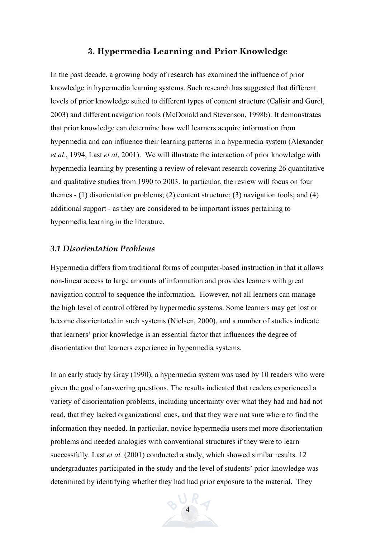#### **3. Hypermedia Learning and Prior Knowledge**

In the past decade, a growing body of research has examined the influence of prior knowledge in hypermedia learning systems. Such research has suggested that different levels of prior knowledge suited to different types of content structure (Calisir and Gurel, 2003) and different navigation tools (McDonald and Stevenson, 1998b). It demonstrates that prior knowledge can determine how well learners acquire information from hypermedia and can influence their learning patterns in a hypermedia system (Alexander *et al*., 1994, Last *et al*, 2001). We will illustrate the interaction of prior knowledge with hypermedia learning by presenting a review of relevant research covering 26 quantitative and qualitative studies from 1990 to 2003. In particular, the review will focus on four themes - (1) disorientation problems; (2) content structure; (3) navigation tools; and (4) additional support - as they are considered to be important issues pertaining to hypermedia learning in the literature.

#### *3.1 Disorientation Problems*

Hypermedia differs from traditional forms of computer-based instruction in that it allows non-linear access to large amounts of information and provides learners with great navigation control to sequence the information. However, not all learners can manage the high level of control offered by hypermedia systems. Some learners may get lost or become disorientated in such systems (Nielsen, 2000), and a number of studies indicate that learners' prior knowledge is an essential factor that influences the degree of disorientation that learners experience in hypermedia systems.

In an early study by Gray (1990), a hypermedia system was used by 10 readers who were given the goal of answering questions. The results indicated that readers experienced a variety of disorientation problems, including uncertainty over what they had and had not read, that they lacked organizational cues, and that they were not sure where to find the information they needed. In particular, novice hypermedia users met more disorientation problems and needed analogies with conventional structures if they were to learn successfully. Last *et al.* (2001) conducted a study, which showed similar results. 12 undergraduates participated in the study and the level of students' prior knowledge was determined by identifying whether they had had prior exposure to the material. They

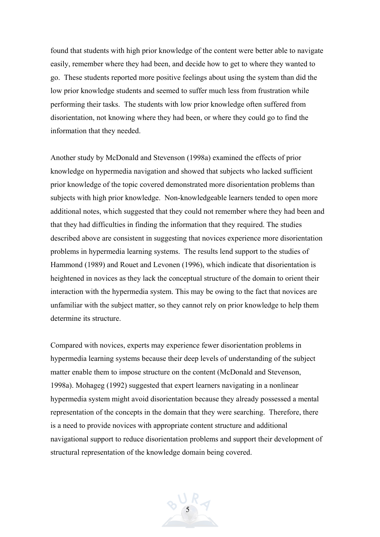found that students with high prior knowledge of the content were better able to navigate easily, remember where they had been, and decide how to get to where they wanted to go. These students reported more positive feelings about using the system than did the low prior knowledge students and seemed to suffer much less from frustration while performing their tasks. The students with low prior knowledge often suffered from disorientation, not knowing where they had been, or where they could go to find the information that they needed.

Another study by McDonald and Stevenson (1998a) examined the effects of prior knowledge on hypermedia navigation and showed that subjects who lacked sufficient prior knowledge of the topic covered demonstrated more disorientation problems than subjects with high prior knowledge. Non-knowledgeable learners tended to open more additional notes, which suggested that they could not remember where they had been and that they had difficulties in finding the information that they required. The studies described above are consistent in suggesting that novices experience more disorientation problems in hypermedia learning systems. The results lend support to the studies of Hammond (1989) and Rouet and Levonen (1996), which indicate that disorientation is heightened in novices as they lack the conceptual structure of the domain to orient their interaction with the hypermedia system. This may be owing to the fact that novices are unfamiliar with the subject matter, so they cannot rely on prior knowledge to help them determine its structure.

Compared with novices, experts may experience fewer disorientation problems in hypermedia learning systems because their deep levels of understanding of the subject matter enable them to impose structure on the content (McDonald and Stevenson, 1998a). Mohageg (1992) suggested that expert learners navigating in a nonlinear hypermedia system might avoid disorientation because they already possessed a mental representation of the concepts in the domain that they were searching. Therefore, there is a need to provide novices with appropriate content structure and additional navigational support to reduce disorientation problems and support their development of structural representation of the knowledge domain being covered.

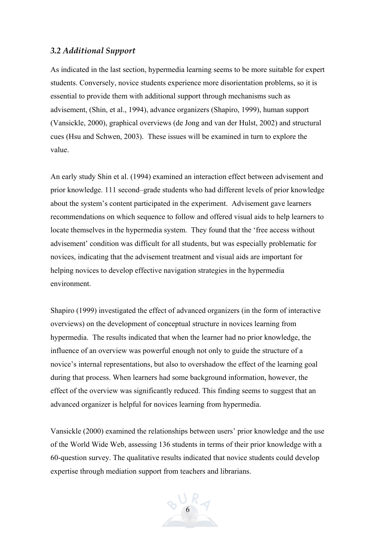#### *3.2 Additional Support*

As indicated in the last section, hypermedia learning seems to be more suitable for expert students. Conversely, novice students experience more disorientation problems, so it is essential to provide them with additional support through mechanisms such as advisement, (Shin, et al., 1994), advance organizers (Shapiro, 1999), human support (Vansickle, 2000), graphical overviews (de Jong and van der Hulst, 2002) and structural cues (Hsu and Schwen, 2003). These issues will be examined in turn to explore the value.

An early study Shin et al. (1994) examined an interaction effect between advisement and prior knowledge. 111 second–grade students who had different levels of prior knowledge about the system's content participated in the experiment. Advisement gave learners recommendations on which sequence to follow and offered visual aids to help learners to locate themselves in the hypermedia system. They found that the 'free access without advisement' condition was difficult for all students, but was especially problematic for novices, indicating that the advisement treatment and visual aids are important for helping novices to develop effective navigation strategies in the hypermedia environment.

Shapiro (1999) investigated the effect of advanced organizers (in the form of interactive overviews) on the development of conceptual structure in novices learning from hypermedia. The results indicated that when the learner had no prior knowledge, the influence of an overview was powerful enough not only to guide the structure of a novice's internal representations, but also to overshadow the effect of the learning goal during that process. When learners had some background information, however, the effect of the overview was significantly reduced. This finding seems to suggest that an advanced organizer is helpful for novices learning from hypermedia.

Vansickle (2000) examined the relationships between users' prior knowledge and the use of the World Wide Web, assessing 136 students in terms of their prior knowledge with a 60-question survey. The qualitative results indicated that novice students could develop expertise through mediation support from teachers and librarians.

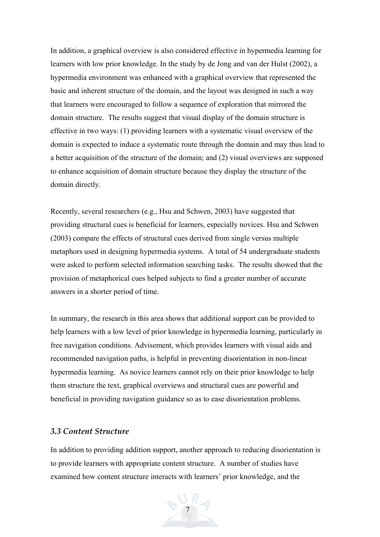In addition, a graphical overview is also considered effective in hypermedia learning for learners with low prior knowledge. In the study by de Jong and van der Hulst (2002), a hypermedia environment was enhanced with a graphical overview that represented the basic and inherent structure of the domain, and the layout was designed in such a way that learners were encouraged to follow a sequence of exploration that mirrored the domain structure. The results suggest that visual display of the domain structure is effective in two ways: (1) providing learners with a systematic visual overview of the domain is expected to induce a systematic route through the domain and may thus lead to a better acquisition of the structure of the domain; and (2) visual overviews are supposed to enhance acquisition of domain structure because they display the structure of the domain directly.

Recently, several researchers (e.g., Hsu and Schwen, 2003) have suggested that providing structural cues is beneficial for learners, especially novices. Hsu and Schwen (2003) compare the effects of structural cues derived from single versus multiple metaphors used in designing hypermedia systems. A total of 54 undergraduate students were asked to perform selected information searching tasks. The results showed that the provision of metaphorical cues helped subjects to find a greater number of accurate answers in a shorter period of time.

In summary, the research in this area shows that additional support can be provided to help learners with a low level of prior knowledge in hypermedia learning, particularly in free navigation conditions. Advisement, which provides learners with visual aids and recommended navigation paths, is helpful in preventing disorientation in non-linear hypermedia learning. As novice learners cannot rely on their prior knowledge to help them structure the text, graphical overviews and structural cues are powerful and beneficial in providing navigation guidance so as to ease disorientation problems.

#### *3.3 Content Structure*

In addition to providing addition support, another approach to reducing disorientation is to provide learners with appropriate content structure. A number of studies have examined how content structure interacts with learners' prior knowledge, and the

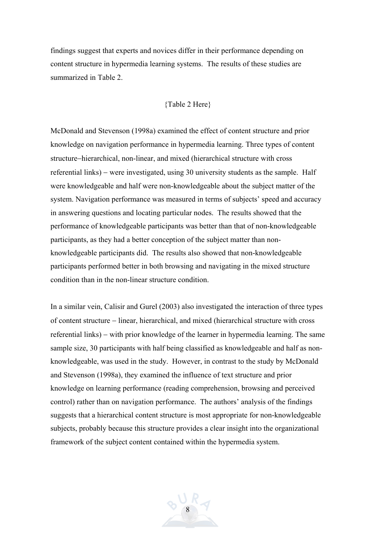findings suggest that experts and novices differ in their performance depending on content structure in hypermedia learning systems. The results of these studies are summarized in Table 2.

#### {Table 2 Here}

McDonald and Stevenson (1998a) examined the effect of content structure and prior knowledge on navigation performance in hypermedia learning. Three types of content structure−hierarchical, non-linear, and mixed (hierarchical structure with cross referential links) − were investigated, using 30 university students as the sample. Half were knowledgeable and half were non-knowledgeable about the subject matter of the system. Navigation performance was measured in terms of subjects' speed and accuracy in answering questions and locating particular nodes. The results showed that the performance of knowledgeable participants was better than that of non-knowledgeable participants, as they had a better conception of the subject matter than nonknowledgeable participants did. The results also showed that non-knowledgeable participants performed better in both browsing and navigating in the mixed structure condition than in the non-linear structure condition.

In a similar vein, Calisir and Gurel (2003) also investigated the interaction of three types of content structure − linear, hierarchical, and mixed (hierarchical structure with cross referential links) − with prior knowledge of the learner in hypermedia learning. The same sample size, 30 participants with half being classified as knowledgeable and half as nonknowledgeable, was used in the study. However, in contrast to the study by McDonald and Stevenson (1998a), they examined the influence of text structure and prior knowledge on learning performance (reading comprehension, browsing and perceived control) rather than on navigation performance. The authors' analysis of the findings suggests that a hierarchical content structure is most appropriate for non-knowledgeable subjects, probably because this structure provides a clear insight into the organizational framework of the subject content contained within the hypermedia system.

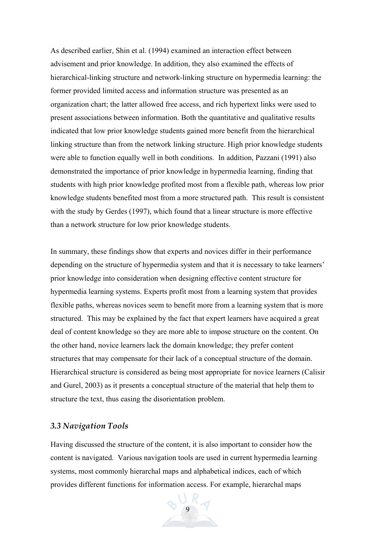As described earlier, Shin et al. (1994) examined an interaction effect between advisement and prior knowledge. In addition, they also examined the effects of hierarchical-linking structure and network-linking structure on hypermedia learning: the former provided limited access and information structure was presented as an organization chart; the latter allowed free access, and rich hypertext links were used to present associations between information. Both the quantitative and qualitative results indicated that low prior knowledge students gained more benefit from the hierarchical linking structure than from the network linking structure. High prior knowledge students were able to function equally well in both conditions. In addition, Pazzani (1991) also demonstrated the importance of prior knowledge in hypermedia learning, finding that students with high prior knowledge profited most from a flexible path, whereas low prior knowledge students benefited most from a more structured path. This result is consistent with the study by Gerdes (1997), which found that a linear structure is more effective than a network structure for low prior knowledge students.

In summary, these findings show that experts and novices differ in their performance depending on the structure of hypermedia system and that it is necessary to take learners' prior knowledge into consideration when designing effective content structure for hypermedia learning systems. Experts profit most from a learning system that provides flexible paths, whereas novices seem to benefit more from a learning system that is more structured. This may be explained by the fact that expert learners have acquired a great deal of content knowledge so they are more able to impose structure on the content. On the other hand, novice learners lack the domain knowledge; they prefer content structures that may compensate for their lack of a conceptual structure of the domain. Hierarchical structure is considered as being most appropriate for novice learners (Calisir and Gurel, 2003) as it presents a conceptual structure of the material that help them to structure the text, thus easing the disorientation problem.

#### *3.3 Navigation Tools*

Having discussed the structure of the content, it is also important to consider how the content is navigated. Various navigation tools are used in current hypermedia learning systems, most commonly hierarchal maps and alphabetical indices, each of which provides different functions for information access. For example, hierarchal maps

9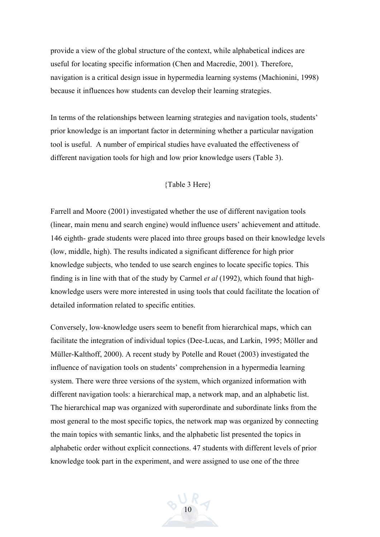provide a view of the global structure of the context, while alphabetical indices are useful for locating specific information (Chen and Macredie, 2001). Therefore, navigation is a critical design issue in hypermedia learning systems (Machionini, 1998) because it influences how students can develop their learning strategies.

In terms of the relationships between learning strategies and navigation tools, students' prior knowledge is an important factor in determining whether a particular navigation tool is useful. A number of empirical studies have evaluated the effectiveness of different navigation tools for high and low prior knowledge users (Table 3).

#### {Table 3 Here}

Farrell and Moore (2001) investigated whether the use of different navigation tools (linear, main menu and search engine) would influence users' achievement and attitude. 146 eighth- grade students were placed into three groups based on their knowledge levels (low, middle, high). The results indicated a significant difference for high prior knowledge subjects, who tended to use search engines to locate specific topics. This finding is in line with that of the study by Carmel *et al* (1992), which found that highknowledge users were more interested in using tools that could facilitate the location of detailed information related to specific entities.

Conversely, low-knowledge users seem to benefit from hierarchical maps, which can facilitate the integration of individual topics (Dee-Lucas, and Larkin, 1995; Möller and Müller-Kalthoff, 2000). A recent study by Potelle and Rouet (2003) investigated the influence of navigation tools on students' comprehension in a hypermedia learning system. There were three versions of the system, which organized information with different navigation tools: a hierarchical map, a network map, and an alphabetic list. The hierarchical map was organized with superordinate and subordinate links from the most general to the most specific topics, the network map was organized by connecting the main topics with semantic links, and the alphabetic list presented the topics in alphabetic order without explicit connections. 47 students with different levels of prior knowledge took part in the experiment, and were assigned to use one of the three

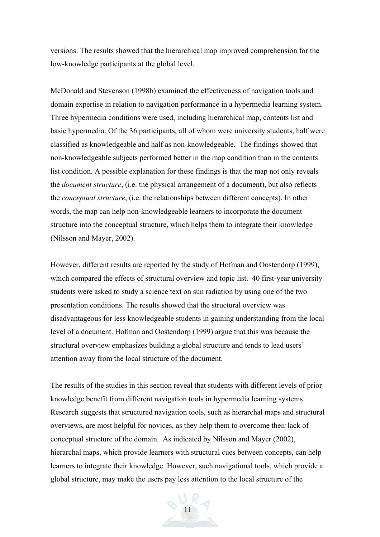versions. The results showed that the hierarchical map improved comprehension for the low-knowledge participants at the global level.

McDonald and Stevenson (1998b) examined the effectiveness of navigation tools and domain expertise in relation to navigation performance in a hypermedia learning system. Three hypermedia conditions were used, including hierarchical map, contents list and basic hypermedia. Of the 36 participants, all of whom were university students, half were classified as knowledgeable and half as non-knowledgeable. The findings showed that non-knowledgeable subjects performed better in the map condition than in the contents list condition. A possible explanation for these findings is that the map not only reveals the *document structure*, (i.e. the physical arrangement of a document), but also reflects the *conceptual structure*, (i.e. the relationships between different concepts). In other words, the map can help non-knowledgeable learners to incorporate the document structure into the conceptual structure, which helps them to integrate their knowledge (Nilsson and Mayer, 2002).

However, different results are reported by the study of Hofman and Oostendorp (1999), which compared the effects of structural overview and topic list. 40 first-year university students were asked to study a science text on sun radiation by using one of the two presentation conditions. The results showed that the structural overview was disadvantageous for less knowledgeable students in gaining understanding from the local level of a document. Hofman and Oostendorp (1999) argue that this was because the structural overview emphasizes building a global structure and tends to lead users' attention away from the local structure of the document.

The results of the studies in this section reveal that students with different levels of prior knowledge benefit from different navigation tools in hypermedia learning systems. Research suggests that structured navigation tools, such as hierarchal maps and structural overviews, are most helpful for novices, as they help them to overcome their lack of conceptual structure of the domain. As indicated by Nilsson and Mayer (2002), hierarchal maps, which provide learners with structural cues between concepts, can help learners to integrate their knowledge. However, such navigational tools, which provide a global structure, may make the users pay less attention to the local structure of the

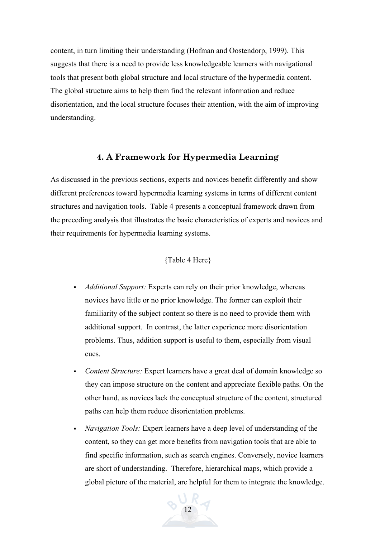content, in turn limiting their understanding (Hofman and Oostendorp, 1999). This suggests that there is a need to provide less knowledgeable learners with navigational tools that present both global structure and local structure of the hypermedia content. The global structure aims to help them find the relevant information and reduce disorientation, and the local structure focuses their attention, with the aim of improving understanding.

## **4. A Framework for Hypermedia Learning**

As discussed in the previous sections, experts and novices benefit differently and show different preferences toward hypermedia learning systems in terms of different content structures and navigation tools. Table 4 presents a conceptual framework drawn from the preceding analysis that illustrates the basic characteristics of experts and novices and their requirements for hypermedia learning systems.

#### {Table 4 Here}

- *Additional Support:* Experts can rely on their prior knowledge, whereas novices have little or no prior knowledge. The former can exploit their familiarity of the subject content so there is no need to provide them with additional support. In contrast, the latter experience more disorientation problems. Thus, addition support is useful to them, especially from visual cues.
- *Content Structure:* Expert learners have a great deal of domain knowledge so they can impose structure on the content and appreciate flexible paths. On the other hand, as novices lack the conceptual structure of the content, structured paths can help them reduce disorientation problems.
- *Navigation Tools:* Expert learners have a deep level of understanding of the content, so they can get more benefits from navigation tools that are able to find specific information, such as search engines. Conversely, novice learners are short of understanding. Therefore, hierarchical maps, which provide a global picture of the material, are helpful for them to integrate the knowledge.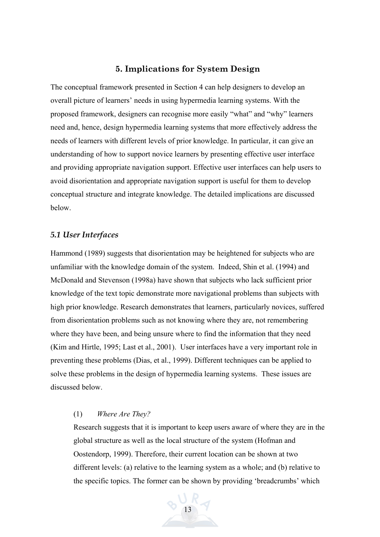## **5. Implications for System Design**

The conceptual framework presented in Section 4 can help designers to develop an overall picture of learners' needs in using hypermedia learning systems. With the proposed framework, designers can recognise more easily "what" and "why" learners need and, hence, design hypermedia learning systems that more effectively address the needs of learners with different levels of prior knowledge. In particular, it can give an understanding of how to support novice learners by presenting effective user interface and providing appropriate navigation support. Effective user interfaces can help users to avoid disorientation and appropriate navigation support is useful for them to develop conceptual structure and integrate knowledge. The detailed implications are discussed below.

#### *5.1 User Interfaces*

Hammond (1989) suggests that disorientation may be heightened for subjects who are unfamiliar with the knowledge domain of the system. Indeed, Shin et al. (1994) and McDonald and Stevenson (1998a) have shown that subjects who lack sufficient prior knowledge of the text topic demonstrate more navigational problems than subjects with high prior knowledge. Research demonstrates that learners, particularly novices, suffered from disorientation problems such as not knowing where they are, not remembering where they have been, and being unsure where to find the information that they need (Kim and Hirtle, 1995; Last et al., 2001). User interfaces have a very important role in preventing these problems (Dias, et al., 1999). Different techniques can be applied to solve these problems in the design of hypermedia learning systems. These issues are discussed below.

#### (1) *Where Are They?*

Research suggests that it is important to keep users aware of where they are in the global structure as well as the local structure of the system (Hofman and Oostendorp, 1999). Therefore, their current location can be shown at two different levels: (a) relative to the learning system as a whole; and (b) relative to the specific topics. The former can be shown by providing 'breadcrumbs' which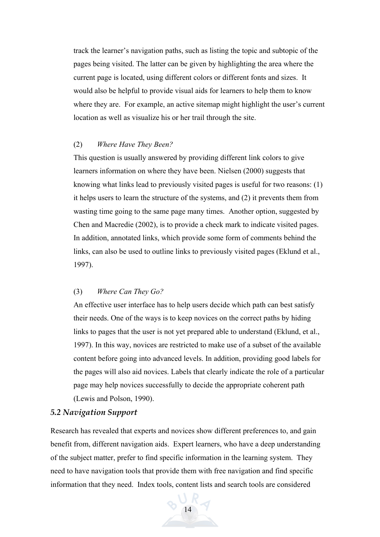track the learner's navigation paths, such as listing the topic and subtopic of the pages being visited. The latter can be given by highlighting the area where the current page is located, using different colors or different fonts and sizes. It would also be helpful to provide visual aids for learners to help them to know where they are. For example, an active sitemap might highlight the user's current location as well as visualize his or her trail through the site.

#### (2) *Where Have They Been?*

This question is usually answered by providing different link colors to give learners information on where they have been. Nielsen (2000) suggests that knowing what links lead to previously visited pages is useful for two reasons: (1) it helps users to learn the structure of the systems, and (2) it prevents them from wasting time going to the same page many times. Another option, suggested by Chen and Macredie (2002), is to provide a check mark to indicate visited pages. In addition, annotated links, which provide some form of comments behind the links, can also be used to outline links to previously visited pages (Eklund et al., 1997).

#### (3) *Where Can They Go?*

An effective user interface has to help users decide which path can best satisfy their needs. One of the ways is to keep novices on the correct paths by hiding links to pages that the user is not yet prepared able to understand (Eklund, et al., 1997). In this way, novices are restricted to make use of a subset of the available content before going into advanced levels. In addition, providing good labels for the pages will also aid novices. Labels that clearly indicate the role of a particular page may help novices successfully to decide the appropriate coherent path (Lewis and Polson, 1990).

### *5.2 Navigation Support*

Research has revealed that experts and novices show different preferences to, and gain benefit from, different navigation aids. Expert learners, who have a deep understanding of the subject matter, prefer to find specific information in the learning system. They need to have navigation tools that provide them with free navigation and find specific information that they need. Index tools, content lists and search tools are considered

14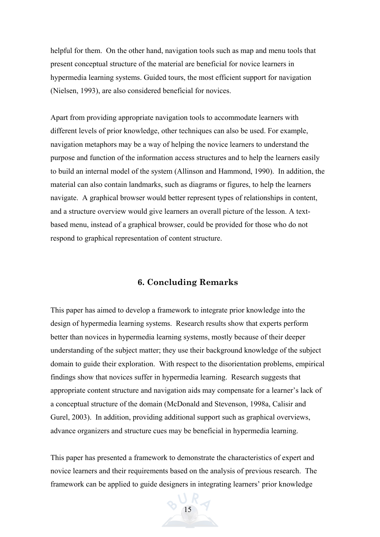helpful for them. On the other hand, navigation tools such as map and menu tools that present conceptual structure of the material are beneficial for novice learners in hypermedia learning systems. Guided tours, the most efficient support for navigation (Nielsen, 1993), are also considered beneficial for novices.

Apart from providing appropriate navigation tools to accommodate learners with different levels of prior knowledge, other techniques can also be used. For example, navigation metaphors may be a way of helping the novice learners to understand the purpose and function of the information access structures and to help the learners easily to build an internal model of the system (Allinson and Hammond, 1990). In addition, the material can also contain landmarks, such as diagrams or figures, to help the learners navigate. A graphical browser would better represent types of relationships in content, and a structure overview would give learners an overall picture of the lesson. A textbased menu, instead of a graphical browser, could be provided for those who do not respond to graphical representation of content structure.

## **6. Concluding Remarks**

This paper has aimed to develop a framework to integrate prior knowledge into the design of hypermedia learning systems. Research results show that experts perform better than novices in hypermedia learning systems, mostly because of their deeper understanding of the subject matter; they use their background knowledge of the subject domain to guide their exploration. With respect to the disorientation problems, empirical findings show that novices suffer in hypermedia learning. Research suggests that appropriate content structure and navigation aids may compensate for a learner's lack of a conceptual structure of the domain (McDonald and Stevenson, 1998a, Calisir and Gurel, 2003). In addition, providing additional support such as graphical overviews, advance organizers and structure cues may be beneficial in hypermedia learning.

This paper has presented a framework to demonstrate the characteristics of expert and novice learners and their requirements based on the analysis of previous research. The framework can be applied to guide designers in integrating learners' prior knowledge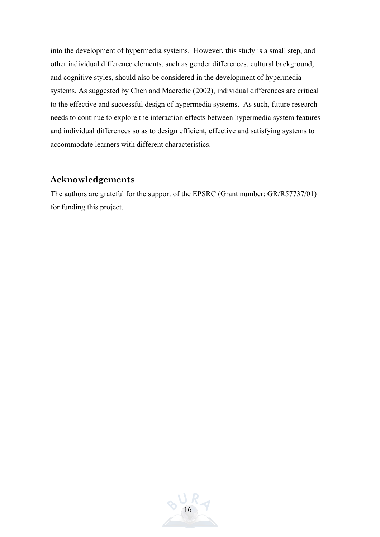into the development of hypermedia systems. However, this study is a small step, and other individual difference elements, such as gender differences, cultural background, and cognitive styles, should also be considered in the development of hypermedia systems. As suggested by Chen and Macredie (2002), individual differences are critical to the effective and successful design of hypermedia systems. As such, future research needs to continue to explore the interaction effects between hypermedia system features and individual differences so as to design efficient, effective and satisfying systems to accommodate learners with different characteristics.

## **Acknowledgements**

The authors are grateful for the support of the EPSRC (Grant number: GR/R57737/01) for funding this project.

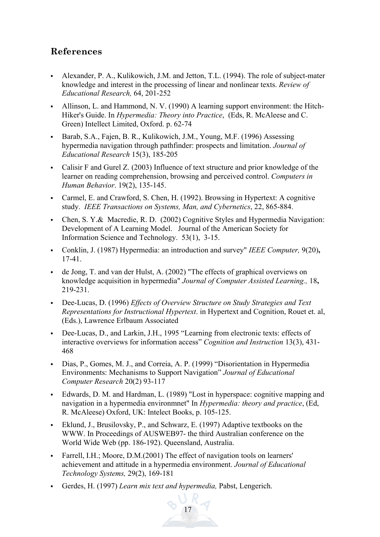## **References**

- Alexander, P. A., Kulikowich, J.M. and Jetton, T.L. (1994). The role of subject-mater knowledge and interest in the processing of linear and nonlinear texts. *Review of Educational Research,* 64, 201-252
- Allinson, L. and Hammond, N. V. (1990) A learning support environment: the Hitch-Hiker's Guide. In *Hypermedia: Theory into Practice*, (Eds, R. McAleese and C. Green) Intellect Limited, Oxford. p. 62-74
- Barab, S.A., Fajen, B. R., Kulikowich, J.M., Young, M.F. (1996) Assessing hypermedia navigation through pathfinder: prospects and limitation. *Journal of Educational Research* 15(3), 185-205
- Calisir F and Gurel Z. (2003) Influence of text structure and prior knowledge of the learner on reading comprehension, browsing and perceived control. *Computers in Human Behavior*. 19(2), 135-145.
- Carmel, E. and Crawford, S. Chen, H. (1992). Browsing in Hypertext: A cognitive study. *IEEE Transactions on Systems, Man, and Cybernetics*, 22, 865-884.
- Chen, S. Y.& Macredie, R. D. (2002) Cognitive Styles and Hypermedia Navigation: Development of A Learning Model. Journal of the American Society for Information Science and Technology. 53(1), 3-15.
- Conklin, J. (1987) Hypermedia: an introduction and survey" *IEEE Computer,* 9(20)**,** 17-41.
- de Jong, T. and van der Hulst, A. (2002) "The effects of graphical overviews on knowledge acquisition in hypermedia" *Journal of Computer Assisted Learning.,* 18**,** 219-231.
- Dee-Lucas, D. (1996) *Effects of Overview Structure on Study Strategies and Text Representations for Instructional Hypertext*. in Hypertext and Cognition, Rouet et. al, (Eds.), Lawrence Erlbaum Associated
- Dee-Lucas, D., and Larkin, J.H., 1995 "Learning from electronic texts: effects of interactive overviews for information access" *Cognition and Instruction* 13(3), 431- 468
- Dias, P., Gomes, M. J., and Correia, A. P. (1999) "Disorientation in Hypermedia Environments: Mechanisms to Support Navigation" *Journal of Educational Computer Research* 20(2) 93-117
- Edwards, D. M. and Hardman, L. (1989) "Lost in hyperspace: cognitive mapping and navigation in a hypermedia environmnet" In *Hypermedia: theory and practice*, (Ed, R. McAleese) Oxford, UK: Intelect Books, p. 105-125.
- Eklund, J., Brusilovsky, P., and Schwarz, E. (1997) Adaptive textbooks on the WWW. In Proceedings of AUSWEB97- the third Australian conference on the World Wide Web (pp. 186-192). Queensland, Australia.
- Farrell, I.H.; Moore, D.M.(2001) The effect of navigation tools on learners' achievement and attitude in a hypermedia environment. *Journal of Educational Technology Systems,* 29(2), 169-181
- Gerdes, H. (1997) *Learn mix text and hypermedia,* Pabst, Lengerich.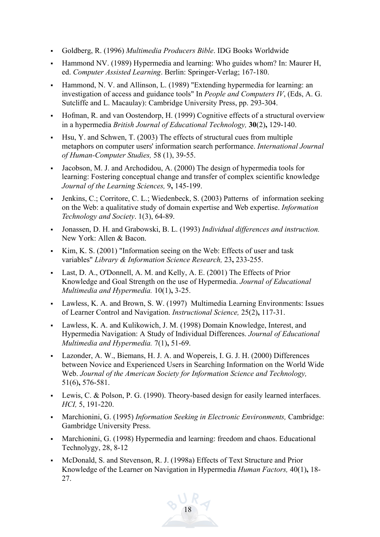- Goldberg, R. (1996) *Multimedia Producers Bible*. IDG Books Worldwide
- Hammond NV. (1989) Hypermedia and learning: Who guides whom? In: Maurer H, ed. *Computer Assisted Learning*. Berlin: Springer-Verlag; 167-180.
- Hammond, N. V. and Allinson, L. (1989) "Extending hypermedia for learning: an investigation of access and guidance tools" In *People and Computers IV*, (Eds, A. G. Sutcliffe and L. Macaulay): Cambridge University Press, pp. 293-304.
- Hofman, R. and van Oostendorp, H. (1999) Cognitive effects of a structural overview in a hypermedia *British Journal of Educational Technology,* **30**(2)**,** 129-140.
- Hsu, Y. and Schwen, T. (2003) The effects of structural cues from multiple metaphors on computer users' information search performance. *International Journal of Human-Computer Studies,* 58 (1), 39-55.
- Jacobson, M. J. and Archodidou, A. (2000) The design of hypermedia tools for learning: Fostering conceptual change and transfer of complex scientific knowledge *Journal of the Learning Sciences,* 9**,** 145-199.
- Jenkins, C.; Corritore, C. L.; Wiedenbeck, S. (2003) Patterns of information seeking on the Web: a qualitative study of domain expertise and Web expertise. *Information Technology and Society*. 1(3), 64-89.
- Jonassen, D. H. and Grabowski, B. L. (1993) *Individual differences and instruction.*  New York: Allen & Bacon.
- Kim, K. S. (2001) "Information seeing on the Web: Effects of user and task variables" *Library & Information Science Research,* 23**,** 233-255.
- Last, D. A., O'Donnell, A. M. and Kelly, A. E. (2001) The Effects of Prior Knowledge and Goal Strength on the use of Hypermedia. *Journal of Educational Multimedia and Hypermedia.* 10(1)**,** 3-25.
- Lawless, K. A. and Brown, S. W. (1997) Multimedia Learning Environments: Issues of Learner Control and Navigation. *Instructional Science,* 25(2)**,** 117-31.
- Lawless, K. A. and Kulikowich, J. M. (1998) Domain Knowledge, Interest, and Hypermedia Navigation: A Study of Individual Differences. *Journal of Educational Multimedia and Hypermedia.* 7(1)**,** 51-69.
- Lazonder, A. W., Biemans, H. J. A. and Wopereis, I. G. J. H. (2000) Differences between Novice and Experienced Users in Searching Information on the World Wide Web. *Journal of the American Society for Information Science and Technology,*  51(6)**,** 576-581.
- Lewis, C. & Polson, P. G. (1990). Theory-based design for easily learned interfaces. *HCI,* 5, 191-220.
- Marchionini, G. (1995) *Information Seeking in Electronic Environments,* Cambridge: Gambridge University Press.
- Marchionini, G. (1998) Hypermedia and learning: freedom and chaos. Educational Technolygy, 28, 8-12
- McDonald, S. and Stevenson, R. J. (1998a) Effects of Text Structure and Prior Knowledge of the Learner on Navigation in Hypermedia *Human Factors,* 40(1)**,** 18- 27.

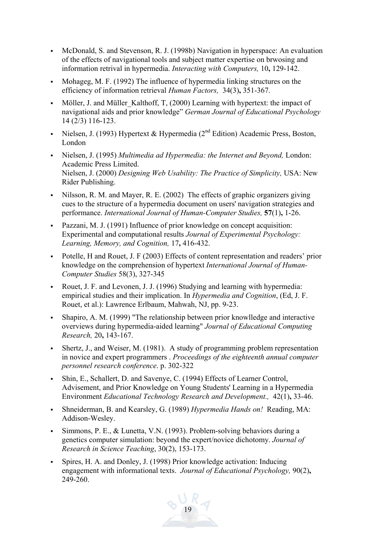- McDonald, S. and Stevenson, R. J. (1998b) Navigation in hyperspace: An evaluation of the effects of navigational tools and subject matter expertise on brwosing and information retrival in hypermedia. *Interacting with Computers,* 10**,** 129-142.
- Mohageg, M. F. (1992) The influence of hypermedia linking structures on the efficiency of information retrieval *Human Factors,* 34(3)**,** 351-367.
- Möller, J. and Müller\_Kalthoff, T, (2000) Learning with hypertext: the impact of navigational aids and prior knowledge" *German Journal of Educational Psychology* 14 (2/3) 116-123.
- Nielsen, J. (1993) Hypertext & Hypermedia (2<sup>nd</sup> Edition) Academic Press, Boston, London
- Nielsen, J. (1995) *Multimedia ad Hypermedia: the Internet and Beyond,* London: Academic Press Limited. Nielsen, J. (2000) *Designing Web Usability: The Practice of Simplicity,* USA: New Rider Publishing.
- Nilsson, R. M. and Mayer, R. E.  $(2002)$  The effects of graphic organizers giving cues to the structure of a hypermedia document on users' navigation strategies and performance. *International Journal of Human-Computer Studies,* **57**(1)**,** 1-26.
- Pazzani, M. J. (1991) Influence of prior knowledge on concept acquisition: Experimental and computational results *Journal of Experimental Psychology: Learning, Memory, and Cognition,* 17**,** 416-432.
- Potelle, H and Rouet, J. F (2003) Effects of content representation and readers' prior knowledge on the comprehension of hypertext *International Journal of Human-Computer Studies* 58(3), 327-345
- Rouet, J. F. and Levonen, J. J. (1996) Studying and learning with hypermedia: empirical studies and their implication. In *Hypermedia and Cognition*, (Ed, J. F. Rouet, et al.): Lawrence Erlbaum, Mahwah, NJ, pp. 9-23.
- Shapiro, A. M. (1999) "The relationship between prior knowlledge and interactive overviews during hypermedia-aided learning" *Journal of Educational Computing Research,* 20**,** 143-167.
- Shertz, J., and Weiser, M. (1981). A study of programming problem representation in novice and expert programmers . *Proceedings of the eighteenth annual computer personnel research conference*. p. 302-322
- Shin, E., Schallert, D. and Savenye, C. (1994) Effects of Learner Control, Advisement, and Prior Knowledge on Young Students' Learning in a Hypermedia Environment *Educational Technology Research and Development.,* 42(1)**,** 33-46.
- Shneiderman, B. and Kearsley, G. (1989) *Hypermedia Hands on!* Reading, MA: Addison-Wesley.
- Simmons, P. E., & Lunetta, V.N. (1993). Problem-solving behaviors during a genetics computer simulation: beyond the expert/novice dichotomy. *Journal of Research in Science Teaching*, 30(2), 153-173.
- Spires, H. A. and Donley, J. (1998) Prior knowledge activation: Inducing engagement with informational texts. *Journal of Educational Psychology,* 90(2)**,**  $249 - 260$ .

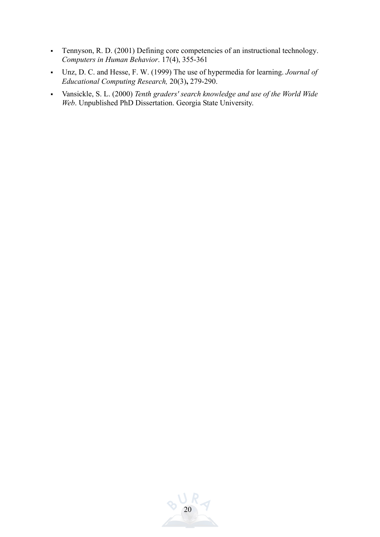- Tennyson, R. D. (2001) Defining core competencies of an instructional technology. *Computers in Human Behavior*. 17(4), 355-361
- Unz, D. C. and Hesse, F. W. (1999) The use of hypermedia for learning. *Journal of Educational Computing Research,* 20(3)**,** 279-290.
- Vansickle, S. L. (2000) *Tenth graders' search knowledge and use of the World Wide Web*. Unpublished PhD Dissertation. Georgia State University.

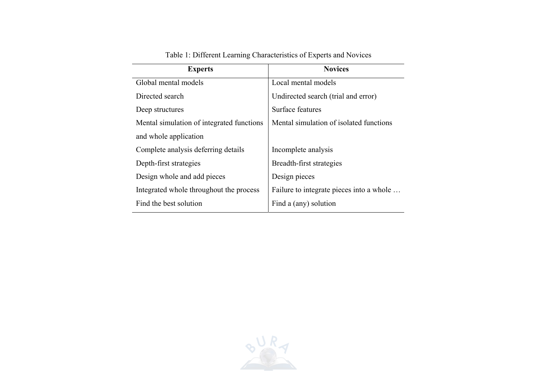| <b>Experts</b>                            | <b>Novices</b>                           |  |
|-------------------------------------------|------------------------------------------|--|
| Global mental models                      | Local mental models                      |  |
| Directed search                           | Undirected search (trial and error)      |  |
| Deep structures                           | Surface features                         |  |
| Mental simulation of integrated functions | Mental simulation of isolated functions  |  |
| and whole application                     |                                          |  |
| Complete analysis deferring details       | Incomplete analysis                      |  |
| Depth-first strategies                    | Breadth-first strategies                 |  |
| Design whole and add pieces               | Design pieces                            |  |
| Integrated whole throughout the process   | Failure to integrate pieces into a whole |  |
| Find the best solution                    | Find a (any) solution                    |  |

Table 1: Different Learning Characteristics of Experts and Novices

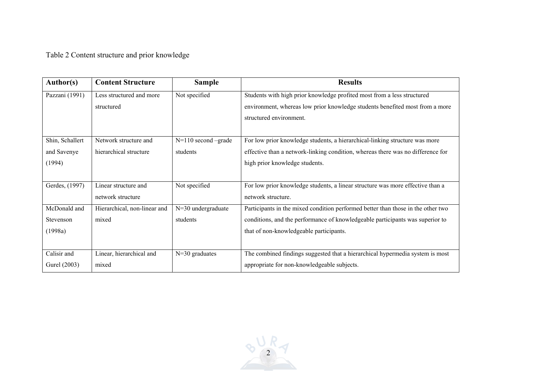Table 2 Content structure and prior knowledge

| <b>Author(s)</b> | <b>Content Structure</b>     | <b>Sample</b>           | <b>Results</b>                                                                   |  |
|------------------|------------------------------|-------------------------|----------------------------------------------------------------------------------|--|
| Pazzani (1991)   | Less structured and more     | Not specified           | Students with high prior knowledge profited most from a less structured          |  |
|                  | structured                   |                         | environment, whereas low prior knowledge students benefited most from a more     |  |
|                  |                              |                         | structured environment.                                                          |  |
|                  |                              |                         |                                                                                  |  |
| Shin, Schallert  | Network structure and        | $N=110$ second $-grade$ | For low prior knowledge students, a hierarchical-linking structure was more      |  |
| and Savenye      | hierarchical structure       | students                | effective than a network-linking condition, whereas there was no difference for  |  |
| (1994)           |                              |                         | high prior knowledge students.                                                   |  |
|                  |                              |                         |                                                                                  |  |
| Gerdes, (1997)   | Linear structure and         | Not specified           | For low prior knowledge students, a linear structure was more effective than a   |  |
|                  | network structure            |                         | network structure.                                                               |  |
| McDonald and     | Hierarchical, non-linear and | $N=30$ undergraduate    | Participants in the mixed condition performed better than those in the other two |  |
| Stevenson        | mixed                        | students                | conditions, and the performance of knowledgeable participants was superior to    |  |
| (1998a)          |                              |                         | that of non-knowledgeable participants.                                          |  |
|                  |                              |                         |                                                                                  |  |
| Calisir and      | Linear, hierarchical and     | $N=30$ graduates        | The combined findings suggested that a hierarchical hypermedia system is most    |  |
| Gurel (2003)     | mixed                        |                         | appropriate for non-knowledgeable subjects.                                      |  |

 $Q$  $R$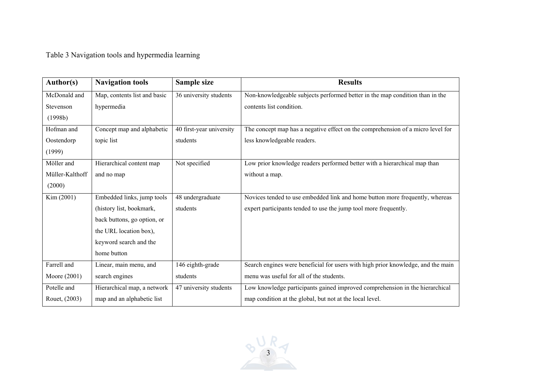Table 3 Navigation tools and hypermedia learning

| <b>Author(s)</b> | <b>Navigation tools</b>      | Sample size              | <b>Results</b>                                                                   |  |
|------------------|------------------------------|--------------------------|----------------------------------------------------------------------------------|--|
| McDonald and     | Map, contents list and basic | 36 university students   | Non-knowledgeable subjects performed better in the map condition than in the     |  |
| Stevenson        | hypermedia                   |                          | contents list condition.                                                         |  |
| (1998b)          |                              |                          |                                                                                  |  |
| Hofman and       | Concept map and alphabetic   | 40 first-year university | The concept map has a negative effect on the comprehension of a micro level for  |  |
| Oostendorp       | topic list                   | students                 | less knowledgeable readers.                                                      |  |
| (1999)           |                              |                          |                                                                                  |  |
| Möller and       | Hierarchical content map     | Not specified            | Low prior knowledge readers performed better with a hierarchical map than        |  |
| Müller-Kalthoff  | and no map                   |                          | without a map.                                                                   |  |
| (2000)           |                              |                          |                                                                                  |  |
| Kim (2001)       | Embedded links, jump tools   | 48 undergraduate         | Novices tended to use embedded link and home button more frequently, whereas     |  |
|                  | (history list, bookmark,     | students                 | expert participants tended to use the jump tool more frequently.                 |  |
|                  | back buttons, go option, or  |                          |                                                                                  |  |
|                  | the URL location box),       |                          |                                                                                  |  |
|                  | keyword search and the       |                          |                                                                                  |  |
|                  | home button                  |                          |                                                                                  |  |
| Farrell and      | Linear, main menu, and       | 146 eighth-grade         | Search engines were beneficial for users with high prior knowledge, and the main |  |
| Moore (2001)     | search engines               | students                 | menu was useful for all of the students.                                         |  |
| Potelle and      | Hierarchical map, a network  | 47 university students   | Low knowledge participants gained improved comprehension in the hierarchical     |  |
| Rouet, (2003)    | map and an alphabetic list   |                          | map condition at the global, but not at the local level.                         |  |